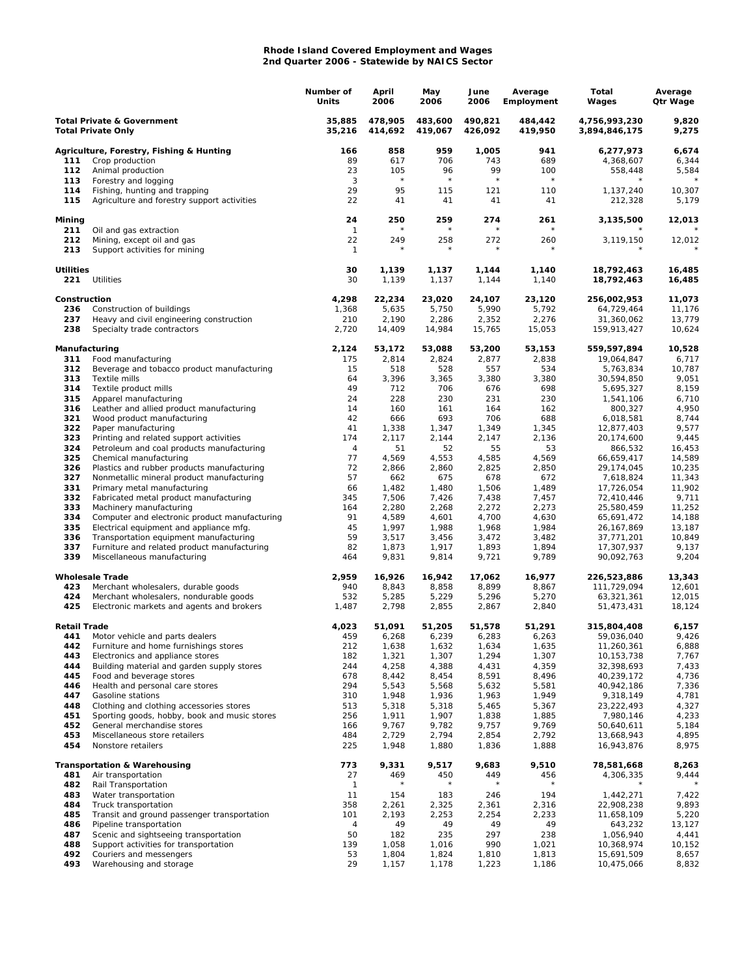## **Rhode Island Covered Employment and Wages 2nd Quarter 2006 - Statewide by NAICS Sector**

|                                                                    |                                                                                         | Number of<br>Units | April<br>2006      | May<br>2006        | June<br>2006       | Average<br>Employment | Total<br>Wages                 | Average<br>Qtr Wage |
|--------------------------------------------------------------------|-----------------------------------------------------------------------------------------|--------------------|--------------------|--------------------|--------------------|-----------------------|--------------------------------|---------------------|
| <b>Total Private &amp; Government</b><br><b>Total Private Only</b> |                                                                                         | 35,885<br>35,216   | 478,905<br>414,692 | 483,600<br>419,067 | 490,821<br>426,092 | 484,442<br>419,950    | 4,756,993,230<br>3,894,846,175 | 9,820<br>9,275      |
|                                                                    | Agriculture, Forestry, Fishing & Hunting                                                | 166                | 858                | 959                | 1,005              | 941                   | 6,277,973                      | 6,674               |
| 111                                                                | Crop production                                                                         | 89                 | 617                | 706                | 743                | 689                   | 4,368,607                      | 6,344               |
| 112                                                                | Animal production                                                                       | 23                 | 105                | 96                 | 99                 | 100                   | 558,448                        | 5,584               |
| 113                                                                | Forestry and logging                                                                    | 3                  | $\star$            | $\star$            | $\star$            | $\star$               |                                |                     |
| 114<br>115                                                         | Fishing, hunting and trapping<br>Agriculture and forestry support activities            | 29<br>22           | 95<br>41           | 115<br>41          | 121<br>41          | 110<br>41             | 1,137,240<br>212,328           | 10,307<br>5,179     |
| Mining                                                             |                                                                                         | 24                 | 250                | 259                | 274                | 261                   | 3,135,500                      | 12,013              |
| 211<br>212                                                         | Oil and gas extraction<br>Mining, except oil and gas                                    | $\mathbf{1}$<br>22 | 249<br>$^{\star}$  | 258<br>$^{\star}$  | 272<br>$^\star$    | 260<br>$^\star$       | 3,119,150                      | 12,012              |
| 213                                                                | Support activities for mining                                                           | $\mathbf{1}$       |                    |                    |                    |                       |                                |                     |
| <b>Utilities</b><br>221                                            | <b>Utilities</b>                                                                        | 30<br>30           | 1,139<br>1,139     | 1,137<br>1,137     | 1,144<br>1,144     | 1,140<br>1,140        | 18,792,463<br>18,792,463       | 16,485<br>16,485    |
| Construction                                                       |                                                                                         | 4,298              | 22,234             | 23,020             | 24,107             | 23,120                | 256,002,953                    | 11,073              |
| 236                                                                | Construction of buildings                                                               | 1,368              | 5,635              | 5,750              | 5,990              | 5,792                 | 64,729,464                     | 11,176              |
| 237                                                                | Heavy and civil engineering construction                                                | 210                | 2,190              | 2,286              | 2,352              | 2,276                 | 31,360,062                     | 13,779              |
| 238                                                                | Specialty trade contractors                                                             | 2,720              | 14,409             | 14,984             | 15,765             | 15,053                | 159,913,427                    | 10,624              |
| Manufacturing                                                      |                                                                                         | 2,124              | 53,172             | 53,088             | 53,200             | 53,153                | 559,597,894                    | 10,528              |
| 311<br>312                                                         | Food manufacturing<br>Beverage and tobacco product manufacturing                        | 175<br>15          | 2,814<br>518       | 2,824<br>528       | 2,877<br>557       | 2,838<br>534          | 19,064,847<br>5,763,834        | 6,717<br>10,787     |
| 313                                                                | Textile mills                                                                           | 64                 | 3,396              | 3,365              | 3,380              | 3,380                 | 30,594,850                     | 9,051               |
| 314                                                                | Textile product mills                                                                   | 49                 | 712                | 706                | 676                | 698                   | 5,695,327                      | 8,159               |
| 315                                                                | Apparel manufacturing                                                                   | 24                 | 228                | 230                | 231                | 230                   | 1,541,106                      | 6,710               |
| 316                                                                | Leather and allied product manufacturing                                                | 14                 | 160                | 161                | 164                | 162                   | 800,327                        | 4,950               |
| 321                                                                | Wood product manufacturing                                                              | 42                 | 666                | 693                | 706                | 688                   | 6,018,581                      | 8,744               |
| 322                                                                | Paper manufacturing                                                                     | 41                 | 1,338              | 1,347              | 1,349              | 1,345                 | 12,877,403                     | 9,577               |
| 323                                                                | Printing and related support activities                                                 | 174                | 2,117              | 2,144              | 2,147              | 2,136                 | 20,174,600                     | 9,445               |
| 324                                                                | Petroleum and coal products manufacturing                                               | 4                  | 51                 | 52                 | 55                 | 53                    | 866,532                        | 16,453              |
| 325                                                                | Chemical manufacturing                                                                  | 77                 | 4,569              | 4,553              | 4,585              | 4,569                 | 66,659,417                     | 14,589              |
| 326<br>327                                                         | Plastics and rubber products manufacturing<br>Nonmetallic mineral product manufacturing | 72<br>57           | 2,866<br>662       | 2,860<br>675       | 2,825<br>678       | 2,850<br>672          | 29,174,045<br>7,618,824        | 10,235<br>11,343    |
| 331                                                                | Primary metal manufacturing                                                             | 66                 | 1,482              | 1,480              | 1,506              | 1,489                 | 17,726,054                     | 11,902              |
| 332                                                                | Fabricated metal product manufacturing                                                  | 345                | 7,506              | 7,426              | 7,438              | 7,457                 | 72,410,446                     | 9,711               |
| 333                                                                | Machinery manufacturing                                                                 | 164                | 2,280              | 2,268              | 2,272              | 2,273                 | 25,580,459                     | 11,252              |
| 334                                                                | Computer and electronic product manufacturing                                           | 91                 | 4,589              | 4,601              | 4,700              | 4,630                 | 65,691,472                     | 14,188              |
| 335                                                                | Electrical equipment and appliance mfg.                                                 | 45                 | 1,997              | 1,988              | 1,968              | 1,984                 | 26, 167, 869                   | 13,187              |
| 336                                                                | Transportation equipment manufacturing                                                  | 59                 | 3,517              | 3,456              | 3,472              | 3,482                 | 37,771,201                     | 10,849              |
| 337                                                                | Furniture and related product manufacturing                                             | 82                 | 1,873              | 1,917              | 1,893              | 1,894                 | 17,307,937                     | 9,137               |
| 339                                                                | Miscellaneous manufacturing                                                             | 464                | 9,831              | 9,814              | 9,721              | 9,789                 | 90,092,763                     | 9,204               |
|                                                                    | <b>Wholesale Trade</b>                                                                  | 2,959              | 16,926             | 16,942             | 17,062             | 16,977                | 226,523,886                    | 13,343              |
| 423                                                                | Merchant wholesalers, durable goods                                                     | 940                | 8,843              | 8,858              | 8,899              | 8,867                 | 111,729,094                    | 12,601              |
| 424                                                                | Merchant wholesalers, nondurable goods                                                  | 532                | 5,285              | 5,229              | 5,296              | 5,270                 | 63,321,361                     | 12,015              |
| 425                                                                | Electronic markets and agents and brokers                                               | 1,487              | 2,798              | 2,855              | 2,867              | 2,840                 | 51,473,431                     | 18,124              |
| <b>Retail Trade</b>                                                |                                                                                         | 4,023              | 51,091             | 51,205             | 51,578             | 51,291                | 315,804,408                    | 6,157               |
| 441                                                                | Motor vehicle and parts dealers                                                         | 459                | 6,268              | 6,239              | 6,283              | 6,263                 | 59,036,040                     | 9,426               |
| 442<br>443                                                         | Furniture and home furnishings stores<br>Electronics and appliance stores               | 212<br>182         | 1,638<br>1,321     | 1,632<br>1,307     | 1,634<br>1,294     | 1,635<br>1,307        | 11,260,361<br>10,153,738       | 6,888<br>7,767      |
| 444                                                                | Building material and garden supply stores                                              | 244                | 4,258              | 4,388              | 4,431              | 4,359                 | 32,398,693                     | 7,433               |
| 445                                                                | Food and beverage stores                                                                | 678                | 8,442              | 8,454              | 8,591              | 8,496                 | 40,239,172                     | 4,736               |
| 446                                                                | Health and personal care stores                                                         | 294                | 5,543              | 5,568              | 5,632              | 5,581                 | 40,942,186                     | 7,336               |
| 447                                                                | Gasoline stations                                                                       | 310                | 1,948              | 1,936              | 1,963              | 1,949                 | 9,318,149                      | 4,781               |
| 448                                                                | Clothing and clothing accessories stores                                                | 513                | 5,318              | 5,318              | 5,465              | 5,367                 | 23,222,493                     | 4,327               |
| 451                                                                | Sporting goods, hobby, book and music stores                                            | 256                | 1,911              | 1,907              | 1,838              | 1,885                 | 7,980,146                      | 4,233               |
| 452                                                                | General merchandise stores                                                              | 166                | 9,767              | 9,782              | 9,757              | 9,769                 | 50,640,611                     | 5,184               |
| 453<br>454                                                         | Miscellaneous store retailers<br>Nonstore retailers                                     | 484<br>225         | 2,729<br>1,948     | 2,794<br>1,880     | 2,854<br>1,836     | 2,792<br>1,888        | 13,668,943<br>16,943,876       | 4,895<br>8,975      |
|                                                                    |                                                                                         |                    |                    |                    |                    |                       |                                |                     |
|                                                                    | <b>Transportation &amp; Warehousing</b>                                                 | 773                | 9,331              | 9,517              | 9,683              | 9,510                 | 78,581,668                     | 8,263               |
| 481<br>482                                                         | Air transportation<br>Rail Transportation                                               | 27<br>$\mathbf{1}$ | 469                | 450                | 449                | 456                   | 4,306,335                      | 9,444               |
| 483                                                                | Water transportation                                                                    | 11                 | 154                | 183                | 246                | 194                   | 1,442,271                      | 7,422               |
| 484                                                                | Truck transportation                                                                    | 358                | 2,261              | 2,325              | 2,361              | 2,316                 | 22,908,238                     | 9,893               |
| 485                                                                | Transit and ground passenger transportation                                             | 101                | 2,193              | 2,253              | 2,254              | 2,233                 | 11,658,109                     | 5,220               |
| 486                                                                | Pipeline transportation                                                                 | 4                  | 49                 | 49                 | 49                 | 49                    | 643,232                        | 13,127              |
| 487                                                                | Scenic and sightseeing transportation                                                   | 50                 | 182                | 235                | 297                | 238                   | 1,056,940                      | 4,441               |
| 488                                                                | Support activities for transportation                                                   | 139                | 1,058              | 1,016              | 990                | 1,021                 | 10,368,974                     | 10,152              |
| 492                                                                | Couriers and messengers                                                                 | 53                 | 1,804              | 1,824              | 1,810              | 1,813                 | 15,691,509                     | 8,657               |
| 493                                                                | Warehousing and storage                                                                 | 29                 | 1,157              | 1,178              | 1,223              | 1,186                 | 10,475,066                     | 8,832               |